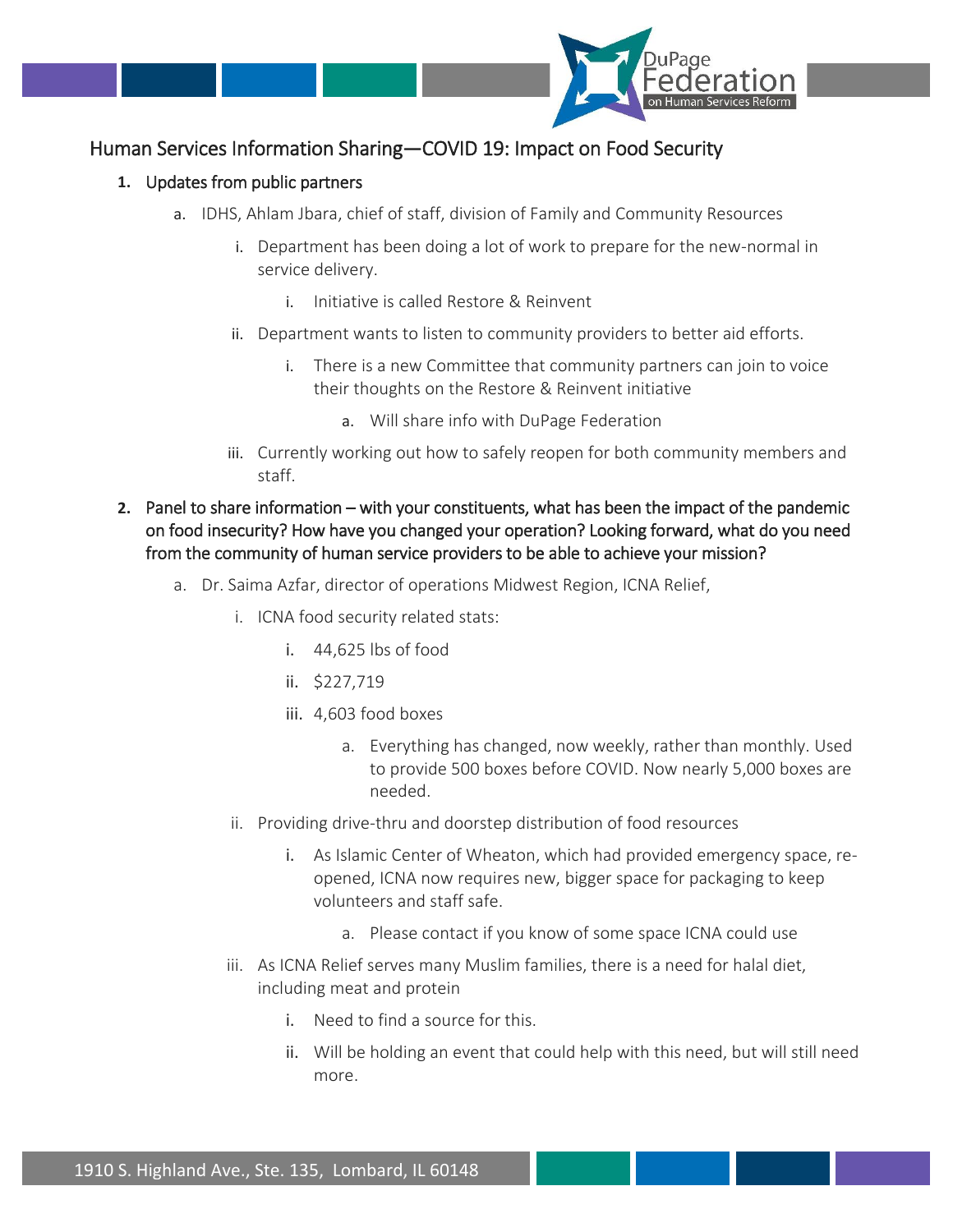

## Human Services Information Sharing—COVID 19: Impact on Food Security

## **1.** Updates from public partners

- a. IDHS, Ahlam Jbara, chief of staff, division of Family and Community Resources
	- i. Department has been doing a lot of work to prepare for the new-normal in service delivery.
		- i. Initiative is called Restore & Reinvent
	- ii. Department wants to listen to community providers to better aid efforts.
		- i. There is a new Committee that community partners can join to voice their thoughts on the Restore & Reinvent initiative
			- a. Will share info with DuPage Federation
	- iii. Currently working out how to safely reopen for both community members and staff.
- **2.** Panel to share information with your constituents, what has been the impact of the pandemic on food insecurity? How have you changed your operation? Looking forward, what do you need from the community of human service providers to be able to achieve your mission?
	- a. Dr. Saima Azfar, director of operations Midwest Region, ICNA Relief,
		- i. ICNA food security related stats:
			- i. 44,625 lbs of food
			- ii. \$227,719
			- iii. 4,603 food boxes
				- a. Everything has changed, now weekly, rather than monthly. Used to provide 500 boxes before COVID. Now nearly 5,000 boxes are needed.
		- ii. Providing drive-thru and doorstep distribution of food resources
			- i. As Islamic Center of Wheaton, which had provided emergency space, reopened, ICNA now requires new, bigger space for packaging to keep volunteers and staff safe.
				- a. Please contact if you know of some space ICNA could use
		- iii. As ICNA Relief serves many Muslim families, there is a need for halal diet, including meat and protein
			- i. Need to find a source for this.
			- ii. Will be holding an event that could help with this need, but will still need more.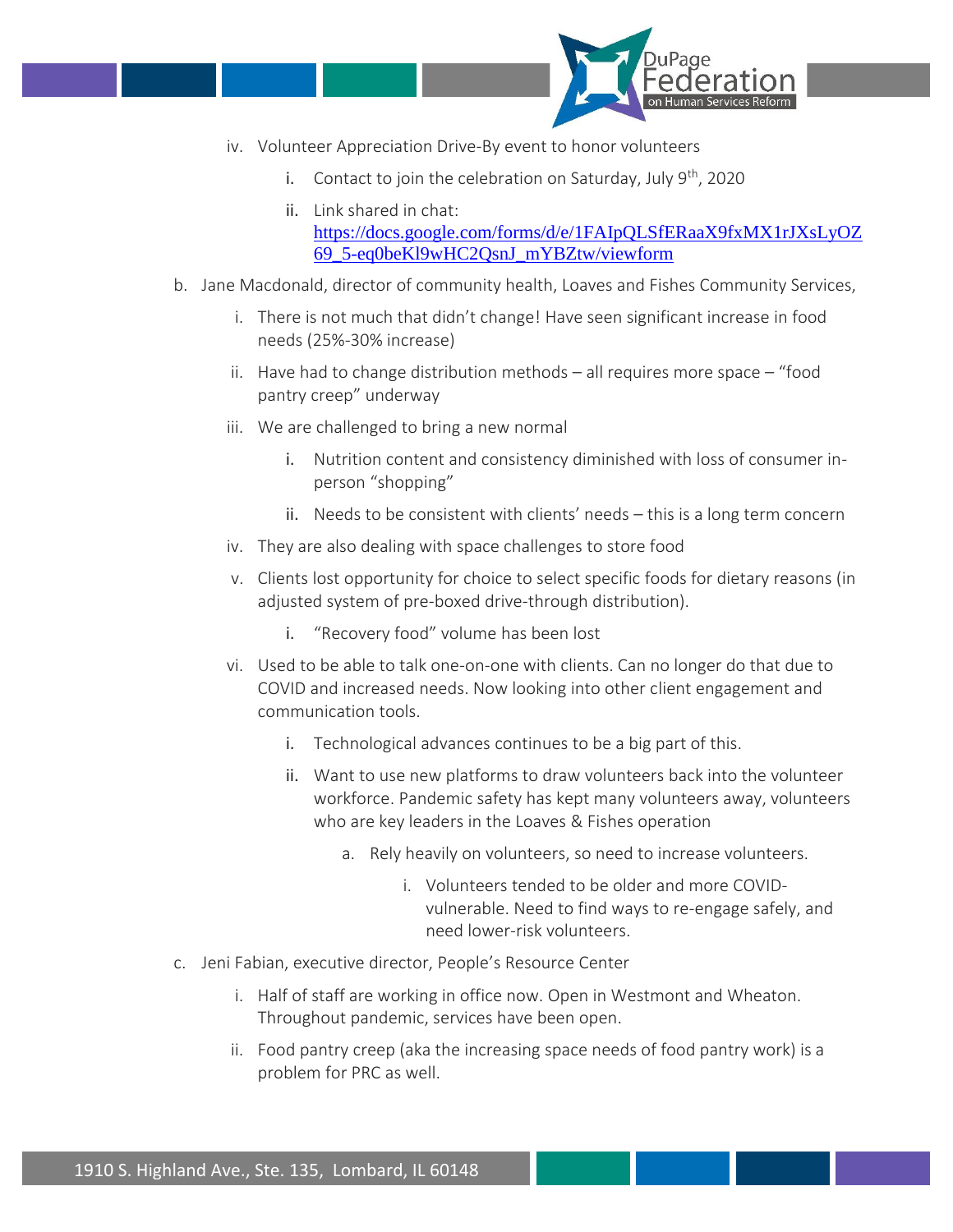

- iv. Volunteer Appreciation Drive-By event to honor volunteers
	- i. Contact to join the celebration on Saturday, July  $9^{th}$ , 2020
	- ii. Link shared in chat: [https://docs.google.com/forms/d/e/1FAIpQLSfERaaX9fxMX1rJXsLyOZ](about:blank) [69\\_5-eq0beKl9wHC2QsnJ\\_mYBZtw/viewform](about:blank)
- b. Jane Macdonald, director of community health, Loaves and Fishes Community Services,
	- i. There is not much that didn't change! Have seen significant increase in food needs (25%-30% increase)
	- ii. Have had to change distribution methods all requires more space "food pantry creep" underway
	- iii. We are challenged to bring a new normal
		- i. Nutrition content and consistency diminished with loss of consumer inperson "shopping"
		- ii. Needs to be consistent with clients' needs this is a long term concern
	- iv. They are also dealing with space challenges to store food
	- v. Clients lost opportunity for choice to select specific foods for dietary reasons (in adjusted system of pre-boxed drive-through distribution).
		- i. "Recovery food" volume has been lost
	- vi. Used to be able to talk one-on-one with clients. Can no longer do that due to COVID and increased needs. Now looking into other client engagement and communication tools.
		- i. Technological advances continues to be a big part of this.
		- ii. Want to use new platforms to draw volunteers back into the volunteer workforce. Pandemic safety has kept many volunteers away, volunteers who are key leaders in the Loaves & Fishes operation
			- a. Rely heavily on volunteers, so need to increase volunteers.
				- i. Volunteers tended to be older and more COVIDvulnerable. Need to find ways to re-engage safely, and need lower-risk volunteers.
- c. Jeni Fabian, executive director, People's Resource Center
	- i. Half of staff are working in office now. Open in Westmont and Wheaton. Throughout pandemic, services have been open.
	- ii. Food pantry creep (aka the increasing space needs of food pantry work) is a problem for PRC as well.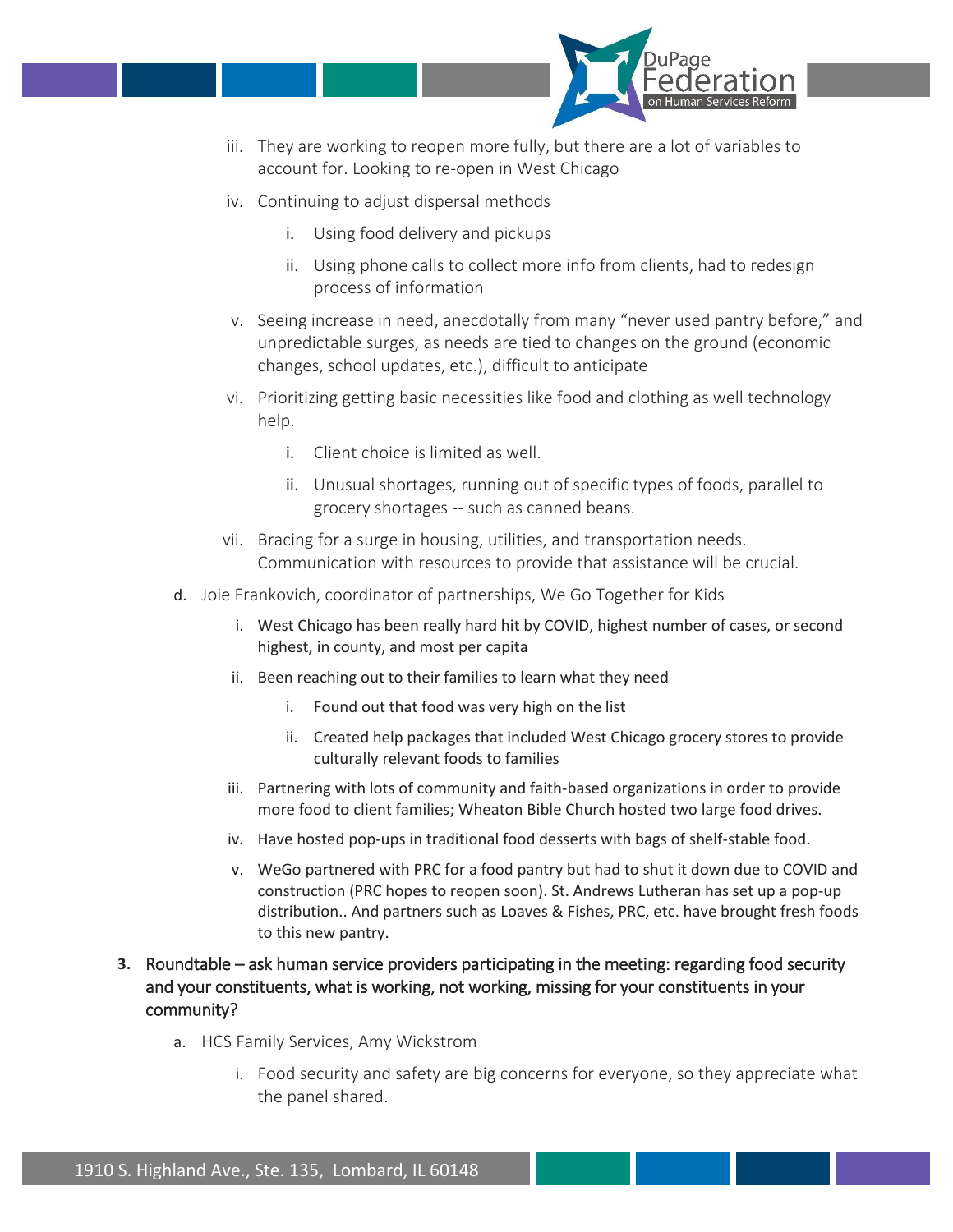

- iii. They are working to reopen more fully, but there are a lot of variables to account for. Looking to re-open in West Chicago
- iv. Continuing to adjust dispersal methods
	- i. Using food delivery and pickups
	- ii. Using phone calls to collect more info from clients, had to redesign process of information
- v. Seeing increase in need, anecdotally from many "never used pantry before," and unpredictable surges, as needs are tied to changes on the ground (economic changes, school updates, etc.), difficult to anticipate
- vi. Prioritizing getting basic necessities like food and clothing as well technology help.
	- i. Client choice is limited as well.
	- ii. Unusual shortages, running out of specific types of foods, parallel to grocery shortages -- such as canned beans.
- vii. Bracing for a surge in housing, utilities, and transportation needs. Communication with resources to provide that assistance will be crucial.
- d. Joie Frankovich, coordinator of partnerships, We Go Together for Kids
	- i. West Chicago has been really hard hit by COVID, highest number of cases, or second highest, in county, and most per capita
	- ii. Been reaching out to their families to learn what they need
		- i. Found out that food was very high on the list
		- ii. Created help packages that included West Chicago grocery stores to provide culturally relevant foods to families
	- iii. Partnering with lots of community and faith-based organizations in order to provide more food to client families; Wheaton Bible Church hosted two large food drives.
	- iv. Have hosted pop-ups in traditional food desserts with bags of shelf-stable food.
	- v. WeGo partnered with PRC for a food pantry but had to shut it down due to COVID and construction (PRC hopes to reopen soon). St. Andrews Lutheran has set up a pop-up distribution.. And partners such as Loaves & Fishes, PRC, etc. have brought fresh foods to this new pantry.
- **3.** Roundtable ask human service providers participating in the meeting: regarding food security and your constituents, what is working, not working, missing for your constituents in your community?
	- a. HCS Family Services, Amy Wickstrom
		- i. Food security and safety are big concerns for everyone, so they appreciate what the panel shared.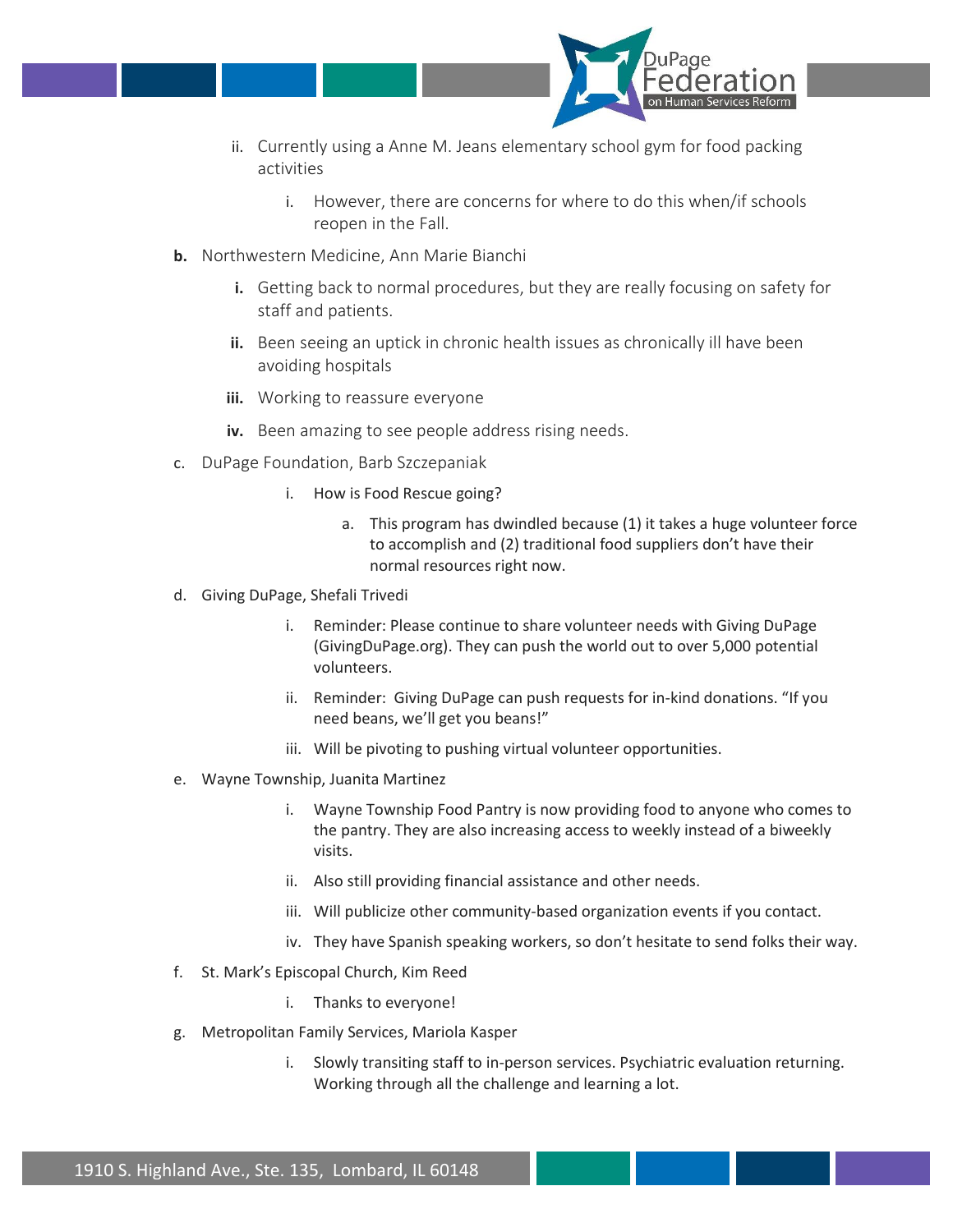

- ii. Currently using a Anne M. Jeans elementary school gym for food packing activities
	- i. However, there are concerns for where to do this when/if schools reopen in the Fall.
- **b.** Northwestern Medicine, Ann Marie Bianchi
	- **i.** Getting back to normal procedures, but they are really focusing on safety for staff and patients.
	- **ii.** Been seeing an uptick in chronic health issues as chronically ill have been avoiding hospitals
	- **iii.** Working to reassure everyone
	- **iv.** Been amazing to see people address rising needs.
- c. DuPage Foundation, Barb Szczepaniak
	- i. How is Food Rescue going?
		- a. This program has dwindled because (1) it takes a huge volunteer force to accomplish and (2) traditional food suppliers don't have their normal resources right now.
- d. Giving DuPage, Shefali Trivedi
	- i. Reminder: Please continue to share volunteer needs with Giving DuPage (GivingDuPage.org). They can push the world out to over 5,000 potential volunteers.
	- ii. Reminder: Giving DuPage can push requests for in-kind donations. "If you need beans, we'll get you beans!"
	- iii. Will be pivoting to pushing virtual volunteer opportunities.
- e. Wayne Township, Juanita Martinez
	- i. Wayne Township Food Pantry is now providing food to anyone who comes to the pantry. They are also increasing access to weekly instead of a biweekly visits.
	- ii. Also still providing financial assistance and other needs.
	- iii. Will publicize other community-based organization events if you contact.
	- iv. They have Spanish speaking workers, so don't hesitate to send folks their way.
- f. St. Mark's Episcopal Church, Kim Reed
	- i. Thanks to everyone!
- g. Metropolitan Family Services, Mariola Kasper
	- i. Slowly transiting staff to in-person services. Psychiatric evaluation returning. Working through all the challenge and learning a lot.